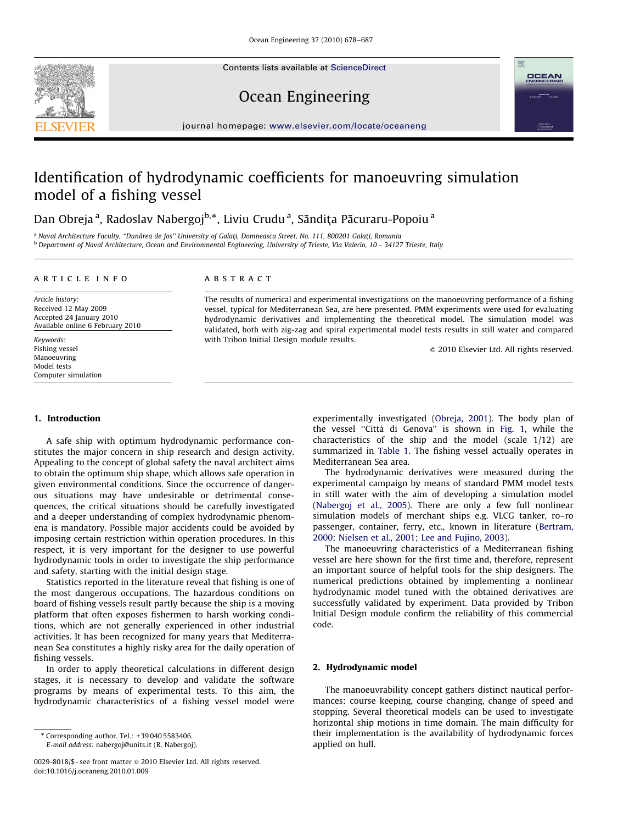Contents lists available at ScienceDirect





# Ocean Engineering

journal homepage: <www.elsevier.com/locate/oceaneng>

# Identification of hydrodynamic coefficients for manoeuvring simulation model of a fishing vessel

Dan Obreja<sup>a</sup>, Radoslav Nabergoj<sup>b,</sup>\*, Liviu Crudu<sup>a</sup>, Săndița Păcuraru-Popoiu<sup>a</sup>

<sup>a</sup> Naval Architecture Faculty, "Dunărea de Jos" University of Galati, Domneasca Street, No. 111, 800201 Galati, Romania <sup>b</sup> Department of Naval Architecture, Ocean and Environmental Engineering, University of Trieste, Via Valerio, 10 - 34127 Trieste, Italy

### article info

Article history: Received 12 May 2009 Accepted 24 January 2010 Available online 6 February 2010

Keywords: Fishing vessel Manoeuvring Model tests Computer simulation

## **ABSTRACT**

The results of numerical and experimental investigations on the manoeuvring performance of a fishing vessel, typical for Mediterranean Sea, are here presented. PMM experiments were used for evaluating hydrodynamic derivatives and implementing the theoretical model. The simulation model was validated, both with zig-zag and spiral experimental model tests results in still water and compared with Tribon Initial Design module results.

 $\odot$  2010 Elsevier Ltd. All rights reserved.

## 1. Introduction

A safe ship with optimum hydrodynamic performance constitutes the major concern in ship research and design activity. Appealing to the concept of global safety the naval architect aims to obtain the optimum ship shape, which allows safe operation in given environmental conditions. Since the occurrence of dangerous situations may have undesirable or detrimental consequences, the critical situations should be carefully investigated and a deeper understanding of complex hydrodynamic phenomena is mandatory. Possible major accidents could be avoided by imposing certain restriction within operation procedures. In this respect, it is very important for the designer to use powerful hydrodynamic tools in order to investigate the ship performance and safety, starting with the initial design stage.

Statistics reported in the literature reveal that fishing is one of the most dangerous occupations. The hazardous conditions on board of fishing vessels result partly because the ship is a moving platform that often exposes fishermen to harsh working conditions, which are not generally experienced in other industrial activities. It has been recognized for many years that Mediterranean Sea constitutes a highly risky area for the daily operation of fishing vessels.

In order to apply theoretical calculations in different design stages, it is necessary to develop and validate the software programs by means of experimental tests. To this aim, the hydrodynamic characteristics of a fishing vessel model were

E-mail address: [nabergoj@units.it \(R. Nabergoj\).](mailto:nabergoj@units.it)

experimentally investigated [\(Obreja, 2001\)](#page--1-0). The body plan of the vessel "Città di Genova" is shown in [Fig. 1,](#page-1-0) while the characteristics of the ship and the model (scale 1/12) are summarized in [Table 1.](#page-1-0) The fishing vessel actually operates in Mediterranean Sea area.

The hydrodynamic derivatives were measured during the experimental campaign by means of standard PMM model tests in still water with the aim of developing a simulation model ([Nabergoj et al., 2005](#page--1-0)). There are only a few full nonlinear simulation models of merchant ships e.g. VLCG tanker, ro–ro passenger, container, ferry, etc., known in literature ([Bertram,](#page--1-0) [2000;](#page--1-0) [Nielsen et al., 2001](#page--1-0); [Lee and Fujino, 2003](#page--1-0)).

The manoeuvring characteristics of a Mediterranean fishing vessel are here shown for the first time and, therefore, represent an important source of helpful tools for the ship designers. The numerical predictions obtained by implementing a nonlinear hydrodynamic model tuned with the obtained derivatives are successfully validated by experiment. Data provided by Tribon Initial Design module confirm the reliability of this commercial code.

#### 2. Hydrodynamic model

The manoeuvrability concept gathers distinct nautical performances: course keeping, course changing, change of speed and stopping. Several theoretical models can be used to investigate horizontal ship motions in time domain. The main difficulty for their implementation is the availability of hydrodynamic forces applied on hull.

<sup>-</sup> Corresponding author. Tel.: +39 040 5583406.

<sup>0029-8018/\$ -</sup> see front matter  $\circ$  2010 Elsevier Ltd. All rights reserved. doi:[10.1016/j.oceaneng.2010.01.009](dx.doi.org/10.1016/j.oceaneng.2010.01.009)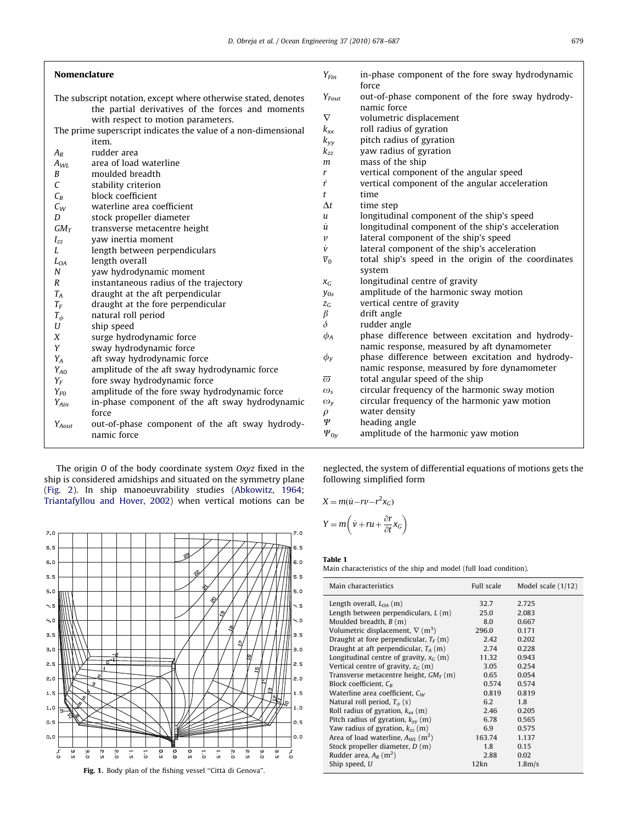<span id="page-1-0"></span>

| <b>Nomenclature</b>                                            |                                                                | $Y_{Fin}$                 | in-phase component of the fore sway hydrodynamic<br>force |
|----------------------------------------------------------------|----------------------------------------------------------------|---------------------------|-----------------------------------------------------------|
|                                                                | The subscript notation, except where otherwise stated, denotes |                           | out-of-phase component of the fore sway hydrody-          |
|                                                                | the partial derivatives of the forces and moments              |                           | namic force                                               |
|                                                                | with respect to motion parameters.                             | $\nabla$                  | volumetric displacement                                   |
| The prime superscript indicates the value of a non-dimensional |                                                                | $k_{xx}$                  | roll radius of gyration                                   |
|                                                                | item.                                                          | $k_{yy}$                  | pitch radius of gyration                                  |
| $A_{R}$                                                        | rudder area                                                    | $k_{zz}$                  | yaw radius of gyration                                    |
| $A_{WL}$                                                       | area of load waterline                                         | m                         | mass of the ship                                          |
| $\boldsymbol{B}$                                               | moulded breadth                                                | r                         | vertical component of the angular speed                   |
| $\cal C$                                                       | stability criterion                                            | ŕ                         | vertical component of the angular acceleration            |
| $C_B$                                                          | block coefficient                                              | t                         | time                                                      |
| $C_W$                                                          | waterline area coefficient                                     | $\Delta t$                | time step                                                 |
| D                                                              | stock propeller diameter                                       | u                         | longitudinal component of the ship's speed                |
| $GM_T$                                                         | transverse metacentre height                                   | ù                         | longitudinal component of the ship's acceleration         |
| $I_{zz}$                                                       | vaw inertia moment                                             | $\boldsymbol{\mathit{v}}$ | lateral component of the ship's speed                     |
| L                                                              | length between perpendiculars                                  | v                         | lateral component of the ship's acceleration              |
| $L_{OA}$                                                       | length overall                                                 | $\overline{v}_0$          | total ship's speed in the origin of the coordinates       |
| Ν                                                              | yaw hydrodynamic moment                                        |                           | system                                                    |
| R                                                              | instantaneous radius of the trajectory                         | $X_G$                     | longitudinal centre of gravity                            |
| $T_A$                                                          | draught at the aft perpendicular                               | $y_{0s}$                  | amplitude of the harmonic sway motion                     |
| $T_F$                                                          | draught at the fore perpendicular                              | $Z_G$                     | vertical centre of gravity                                |
| $T_{\phi}$                                                     | natural roll period                                            | $\beta$                   | drift angle                                               |
| U                                                              | ship speed                                                     | $\delta$                  | rudder angle                                              |
| Χ                                                              | surge hydrodynamic force                                       | $\phi_A$                  | phase difference between excitation and hydrody-          |
| Y                                                              | sway hydrodynamic force                                        |                           | namic response, measured by aft dynamometer               |
| $Y_A$                                                          | aft sway hydrodynamic force                                    | $\phi_F$                  | phase difference between excitation and hydrody-          |
| Y <sub>A0</sub>                                                | amplitude of the aft sway hydrodynamic force                   |                           | namic response, measured by fore dynamometer              |
| $Y_F$                                                          | fore sway hydrodynamic force                                   | $\overline{\omega}$       | total angular speed of the ship                           |
| $Y_{F0}$                                                       | amplitude of the fore sway hydrodynamic force                  | $\omega_{\rm s}$          | circular frequency of the harmonic sway motion            |
| $Y_{Ain}$                                                      | in-phase component of the aft sway hydrodynamic                | $\omega_{v}$              | circular frequency of the harmonic yaw motion             |
|                                                                | force                                                          | $\rho$                    | water density                                             |
| Y <sub>Aout</sub>                                              | out-of-phase component of the aft sway hydrody-                | Ψ                         | heading angle                                             |
|                                                                | namic force                                                    | $\Psi_{0v}$               | amplitude of the harmonic yaw motion                      |
|                                                                |                                                                |                           |                                                           |

The origin O of the body coordinate system Oxyz fixed in the ship is considered amidships and situated on the symmetry plane ([Fig. 2](#page--1-0)). In ship manoeuvrability studies [\(Abkowitz, 1964;](#page--1-0) [Triantafyllou and Hover, 2002\)](#page--1-0) when vertical motions can be



neglected, the system of differential equations of motions gets the following simplified form

$$
X = m(\dot{u} - rv - r^2 x_G)
$$

$$
Y = m(\dot{v} + ru + \frac{\partial r}{\partial t} x_G)
$$

Table 1

Main characteristics of the ship and model (full load condition).

| Main characteristics                                | Full scale | Model scale $(1/12)$ |
|-----------------------------------------------------|------------|----------------------|
| Length overall, $L_{OA}$ (m)                        | 32.7       | 2.725                |
| Length between perpendiculars, $L(m)$               | 25.0       | 2.083                |
| Moulded breadth, $B(m)$                             | 8.0        | 0.667                |
| Volumetric displacement, $\nabla$ (m <sup>3</sup> ) | 296.0      | 0.171                |
| Draught at fore perpendicular, $T_F(m)$             | 2.42       | 0.202                |
| Draught at aft perpendicular, $T_A(m)$              | 2.74       | 0.228                |
| Longitudinal centre of gravity, $x_c$ (m)           | 11.32      | 0.943                |
| Vertical centre of gravity, $z_G$ (m)               | 3.05       | 0.254                |
| Transverse metacentre height, $GM_T$ (m)            | 0.65       | 0.054                |
| Block coefficient, $C_R$                            | 0.574      | 0.574                |
| Waterline area coefficient, $C_W$                   | 0.819      | 0.819                |
| Natural roll period, $T_{\phi}$ (s)                 | 6.2        | 1.8                  |
| Roll radius of gyration, $k_{xx}$ (m)               | 2.46       | 0.205                |
| Pitch radius of gyration, $k_{vv}$ (m)              | 6.78       | 0.565                |
| Yaw radius of gyration, $k_{zz}$ (m)                | 6.9        | 0.575                |
| Area of load waterline, $A_{WI}$ (m <sup>2</sup> )  | 163.74     | 1.137                |
| Stock propeller diameter, $D(m)$                    | 1.8        | 0.15                 |
| Rudder area, $A_R$ (m <sup>2</sup> )                | 2.88       | 0.02                 |
| Ship speed, U                                       | 12kn       | 1.8 <sub>m/s</sub>   |
|                                                     |            |                      |